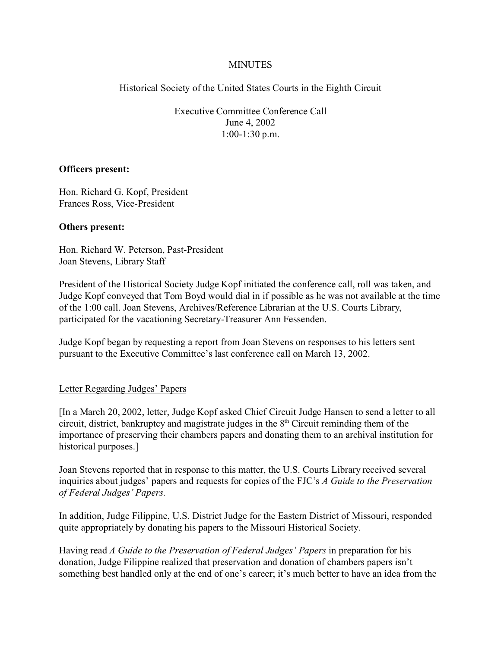### MINUTES

Historical Society of the United States Courts in the Eighth Circuit

Executive Committee Conference Call June 4, 2002 1:00-1:30 p.m.

#### **Officers present:**

Hon. Richard G. Kopf, President Frances Ross, Vice-President

#### **Others present:**

Hon. Richard W. Peterson, Past-President Joan Stevens, Library Staff

President of the Historical Society Judge Kopf initiated the conference call, roll was taken, and Judge Kopf conveyed that Tom Boyd would dial in if possible as he was not available at the time of the 1:00 call. Joan Stevens, Archives/Reference Librarian at the U.S. Courts Library, participated for the vacationing Secretary-Treasurer Ann Fessenden.

Judge Kopf began by requesting a report from Joan Stevens on responses to his letters sent pursuant to the Executive Committee's last conference call on March 13, 2002.

#### Letter Regarding Judges' Papers

[In a March 20, 2002, letter, Judge Kopf asked Chief Circuit Judge Hansen to send a letter to all circuit, district, bankruptcy and magistrate judges in the  $8<sup>th</sup>$  Circuit reminding them of the importance of preserving their chambers papers and donating them to an archival institution for historical purposes.]

Joan Stevens reported that in response to this matter, the U.S. Courts Library received several inquiries about judges' papers and requests for copies of the FJC's *A Guide to the Preservation of Federal Judges' Papers*.

In addition, Judge Filippine, U.S. District Judge for the Eastern District of Missouri, responded quite appropriately by donating his papers to the Missouri Historical Society.

Having read *A Guide to the Preservation of Federal Judges' Papers* in preparation for his donation, Judge Filippine realized that preservation and donation of chambers papers isn't something best handled only at the end of one's career; it's much better to have an idea from the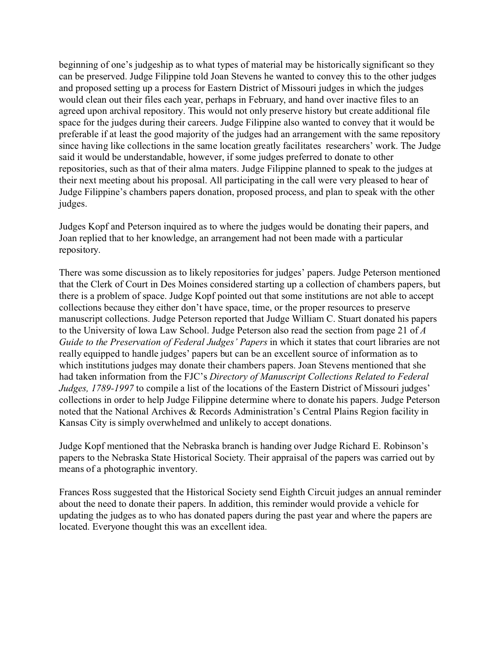beginning of one's judgeship as to what types of material may be historically significant so they can be preserved. Judge Filippine told Joan Stevens he wanted to convey this to the other judges and proposed setting up a process for Eastern District of Missouri judges in which the judges would clean out their files each year, perhaps in February, and hand over inactive files to an agreed upon archival repository. This would not only preserve history but create additional file space for the judges during their careers. Judge Filippine also wanted to convey that it would be preferable if at least the good majority of the judges had an arrangement with the same repository since having like collections in the same location greatly facilitates researchers' work. The Judge said it would be understandable, however, if some judges preferred to donate to other repositories, such as that of their alma maters. Judge Filippine planned to speak to the judges at their next meeting about his proposal. All participating in the call were very pleased to hear of Judge Filippine's chambers papers donation, proposed process, and plan to speak with the other judges.

Judges Kopf and Peterson inquired as to where the judges would be donating their papers, and Joan replied that to her knowledge, an arrangement had not been made with a particular repository.

There was some discussion as to likely repositories for judges' papers. Judge Peterson mentioned that the Clerk of Court in Des Moines considered starting up a collection of chambers papers, but there is a problem of space. Judge Kopf pointed out that some institutions are not able to accept collections because they either don't have space, time, or the proper resources to preserve manuscript collections. Judge Peterson reported that Judge William C. Stuart donated his papers to the University of Iowa Law School. Judge Peterson also read the section from page 21 of *A Guide to the Preservation of Federal Judges' Papers* in which it states that court libraries are not really equipped to handle judges' papers but can be an excellent source of information as to which institutions judges may donate their chambers papers. Joan Stevens mentioned that she had taken information from the FJC's *Directory of Manuscript Collections Related to Federal Judges, 1789-1997* to compile a list of the locations of the Eastern District of Missouri judges' collections in order to help Judge Filippine determine where to donate his papers. Judge Peterson noted that the National Archives & Records Administration's Central Plains Region facility in Kansas City is simply overwhelmed and unlikely to accept donations.

Judge Kopf mentioned that the Nebraska branch is handing over Judge Richard E. Robinson's papers to the Nebraska State Historical Society. Their appraisal of the papers was carried out by means of a photographic inventory.

Frances Ross suggested that the Historical Society send Eighth Circuit judges an annual reminder about the need to donate their papers. In addition, this reminder would provide a vehicle for updating the judges as to who has donated papers during the past year and where the papers are located. Everyone thought this was an excellent idea.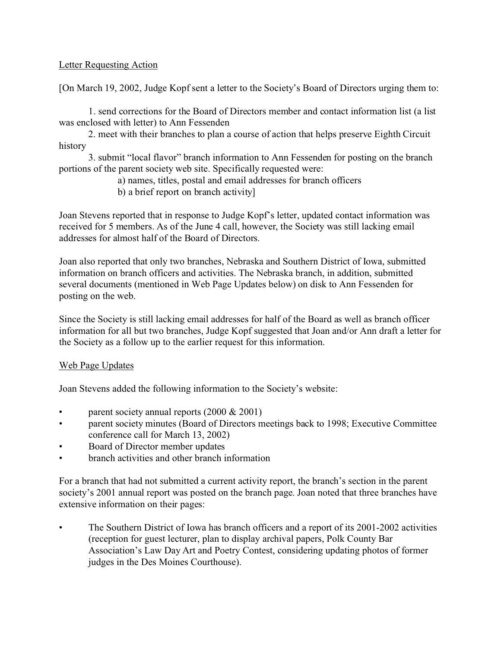# Letter Requesting Action

[On March 19, 2002, Judge Kopf sent a letter to the Society's Board of Directors urging them to:

1. send corrections for the Board of Directors member and contact information list (a list was enclosed with letter) to Ann Fessenden

2. meet with their branches to plan a course of action that helps preserve Eighth Circuit history

3. submit "local flavor" branch information to Ann Fessenden for posting on the branch portions of the parent society web site. Specifically requested were:

- a) names, titles, postal and email addresses for branch officers
- b) a brief report on branch activity]

Joan Stevens reported that in response to Judge Kopf's letter, updated contact information was received for 5 members. As of the June 4 call, however, the Society was still lacking email addresses for almost half of the Board of Directors.

Joan also reported that only two branches, Nebraska and Southern District of Iowa, submitted information on branch officers and activities. The Nebraska branch, in addition, submitted several documents (mentioned in Web Page Updates below) on disk to Ann Fessenden for posting on the web.

Since the Society is still lacking email addresses for half of the Board as well as branch officer information for all but two branches, Judge Kopf suggested that Joan and/or Ann draft a letter for the Society as a follow up to the earlier request for this information.

#### Web Page Updates

Joan Stevens added the following information to the Society's website:

- parent society annual reports  $(2000 \& 2001)$
- parent society minutes (Board of Directors meetings back to 1998; Executive Committee conference call for March 13, 2002)
- Board of Director member updates
- branch activities and other branch information

For a branch that had not submitted a current activity report, the branch's section in the parent society's 2001 annual report was posted on the branch page. Joan noted that three branches have extensive information on their pages:

• The Southern District of Iowa has branch officers and a report of its 2001-2002 activities (reception for guest lecturer, plan to display archival papers, Polk County Bar Association's Law Day Art and Poetry Contest, considering updating photos of former judges in the Des Moines Courthouse).